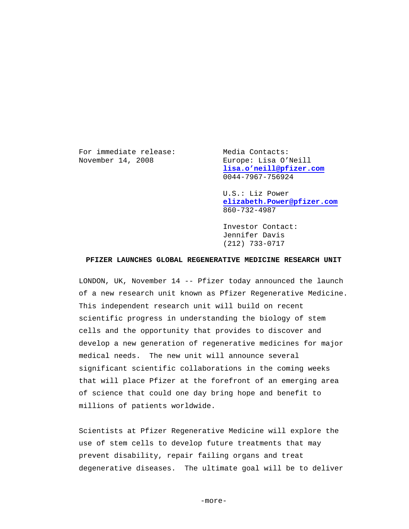For immediate release: Media Contacts: November 14, 2008 Europe: Lisa O'Neill

 **[lisa.o'neill@pfizer.com](mailto:lisa.o)** 0044-7967-756924

 U.S.: Liz Power **[elizabeth.Power@pfizer.com](mailto:elizabeth.Power@pfizer.com)** 860-732-4987

 Investor Contact: Jennifer Davis (212) 733-0717

## **PFIZER LAUNCHES GLOBAL REGENERATIVE MEDICINE RESEARCH UNIT**

LONDON, UK, November 14 -- Pfizer today announced the launch of a new research unit known as Pfizer Regenerative Medicine. This independent research unit will build on recent scientific progress in understanding the biology of stem cells and the opportunity that provides to discover and develop a new generation of regenerative medicines for major medical needs. The new unit will announce several significant scientific collaborations in the coming weeks that will place Pfizer at the forefront of an emerging area of science that could one day bring hope and benefit to millions of patients worldwide.

Scientists at Pfizer Regenerative Medicine will explore the use of stem cells to develop future treatments that may prevent disability, repair failing organs and treat degenerative diseases. The ultimate goal will be to deliver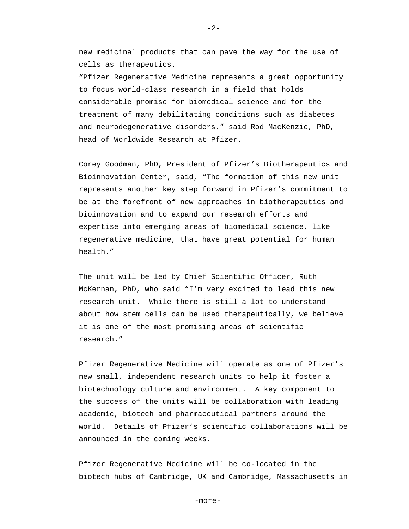new medicinal products that can pave the way for the use of cells as therapeutics.

 $-2-$ 

"Pfizer Regenerative Medicine represents a great opportunity to focus world-class research in a field that holds considerable promise for biomedical science and for the treatment of many debilitating conditions such as diabetes and neurodegenerative disorders." said Rod MacKenzie, PhD, head of Worldwide Research at Pfizer.

Corey Goodman, PhD, President of Pfizer's Biotherapeutics and Bioinnovation Center, said, "The formation of this new unit represents another key step forward in Pfizer's commitment to be at the forefront of new approaches in biotherapeutics and bioinnovation and to expand our research efforts and expertise into emerging areas of biomedical science, like regenerative medicine, that have great potential for human health."

The unit will be led by Chief Scientific Officer, Ruth McKernan, PhD, who said "I'm very excited to lead this new research unit. While there is still a lot to understand about how stem cells can be used therapeutically, we believe it is one of the most promising areas of scientific research."

Pfizer Regenerative Medicine will operate as one of Pfizer's new small, independent research units to help it foster a biotechnology culture and environment. A key component to the success of the units will be collaboration with leading academic, biotech and pharmaceutical partners around the world. Details of Pfizer's scientific collaborations will be announced in the coming weeks.

Pfizer Regenerative Medicine will be co-located in the biotech hubs of Cambridge, UK and Cambridge, Massachusetts in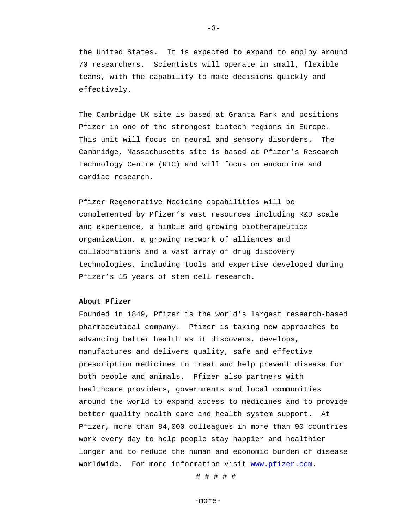the United States. It is expected to expand to employ around 70 researchers. Scientists will operate in small, flexible teams, with the capability to make decisions quickly and effectively.

The Cambridge UK site is based at Granta Park and positions Pfizer in one of the strongest biotech regions in Europe. This unit will focus on neural and sensory disorders. The Cambridge, Massachusetts site is based at Pfizer's Research Technology Centre (RTC) and will focus on endocrine and cardiac research.

Pfizer Regenerative Medicine capabilities will be complemented by Pfizer's vast resources including R&D scale and experience, a nimble and growing biotherapeutics organization, a growing network of alliances and collaborations and a vast array of drug discovery technologies, including tools and expertise developed during Pfizer's 15 years of stem cell research.

## **About Pfizer**

Founded in 1849, Pfizer is the world's largest research-based pharmaceutical company. Pfizer is taking new approaches to advancing better health as it discovers, develops, manufactures and delivers quality, safe and effective prescription medicines to treat and help prevent disease for both people and animals. Pfizer also partners with healthcare providers, governments and local communities around the world to expand access to medicines and to provide better quality health care and health system support. At Pfizer, more than 84,000 colleagues in more than 90 countries work every day to help people stay happier and healthier longer and to reduce the human and economic burden of disease worldwide. For more information visit [www.pfizer.com.](http://www.pfizer.com/)

# # # # #